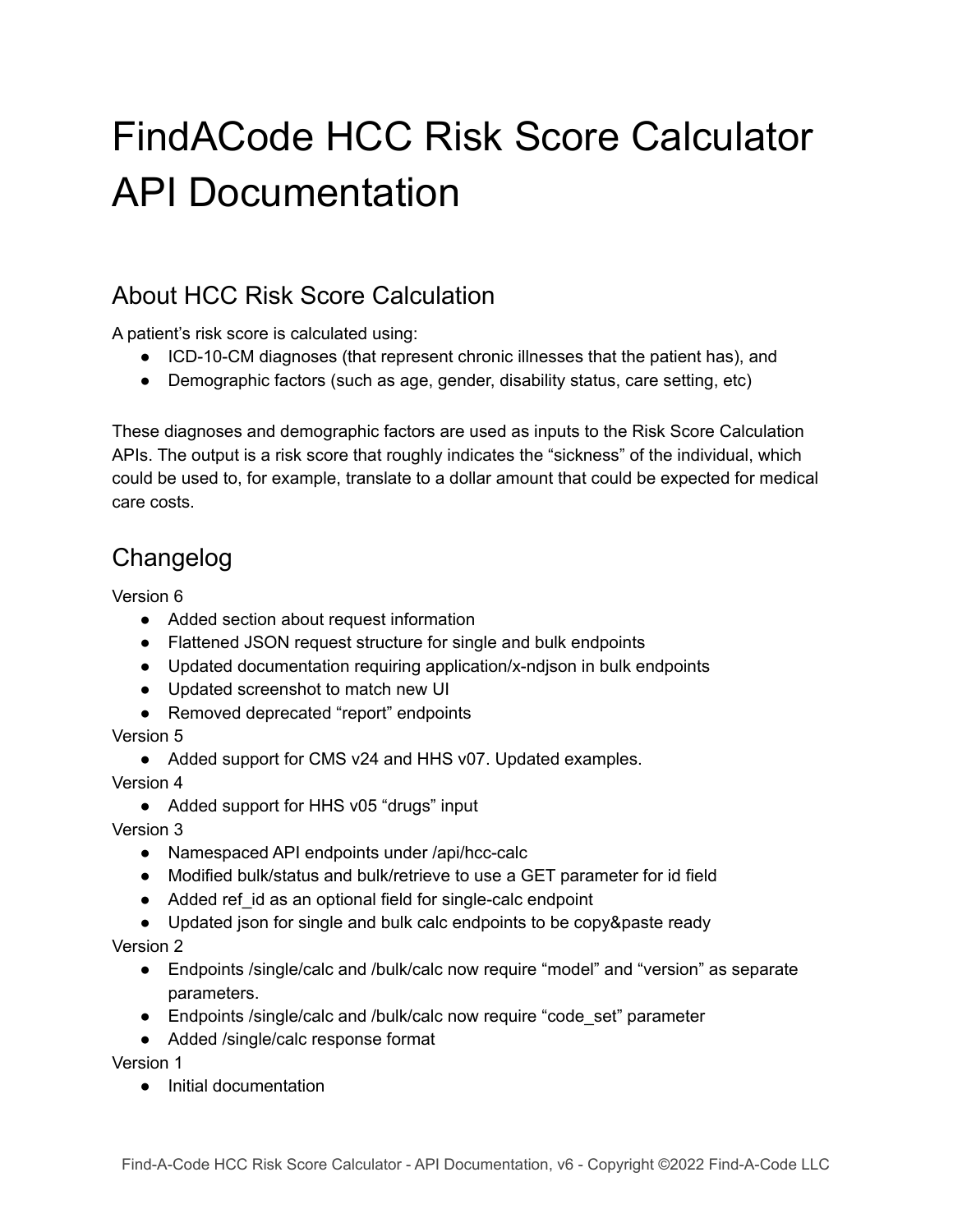# FindACode HCC Risk Score Calculator API Documentation

### About HCC Risk Score Calculation

A patient's risk score is calculated using:

- ICD-10-CM diagnoses (that represent chronic illnesses that the patient has), and
- Demographic factors (such as age, gender, disability status, care setting, etc)

These diagnoses and demographic factors are used as inputs to the Risk Score Calculation APIs. The output is a risk score that roughly indicates the "sickness" of the individual, which could be used to, for example, translate to a dollar amount that could be expected for medical care costs.

## Changelog

Version 6

- Added section about request information
- Flattened JSON request structure for single and bulk endpoints
- Updated documentation requiring application/x-ndjson in bulk endpoints
- Updated screenshot to match new UI
- Removed deprecated "report" endpoints

Version 5

• Added support for CMS v24 and HHS v07. Updated examples.

Version 4

● Added support for HHS v05 "drugs" input

Version 3

- Namespaced API endpoints under /api/hcc-calc
- Modified bulk/status and bulk/retrieve to use a GET parameter for id field
- Added ref id as an optional field for single-calc endpoint
- Updated json for single and bulk calc endpoints to be copy&paste ready

Version 2

- Endpoints /single/calc and /bulk/calc now require "model" and "version" as separate parameters.
- Endpoints /single/calc and /bulk/calc now require "code\_set" parameter
- Added /single/calc response format

Version 1

● Initial documentation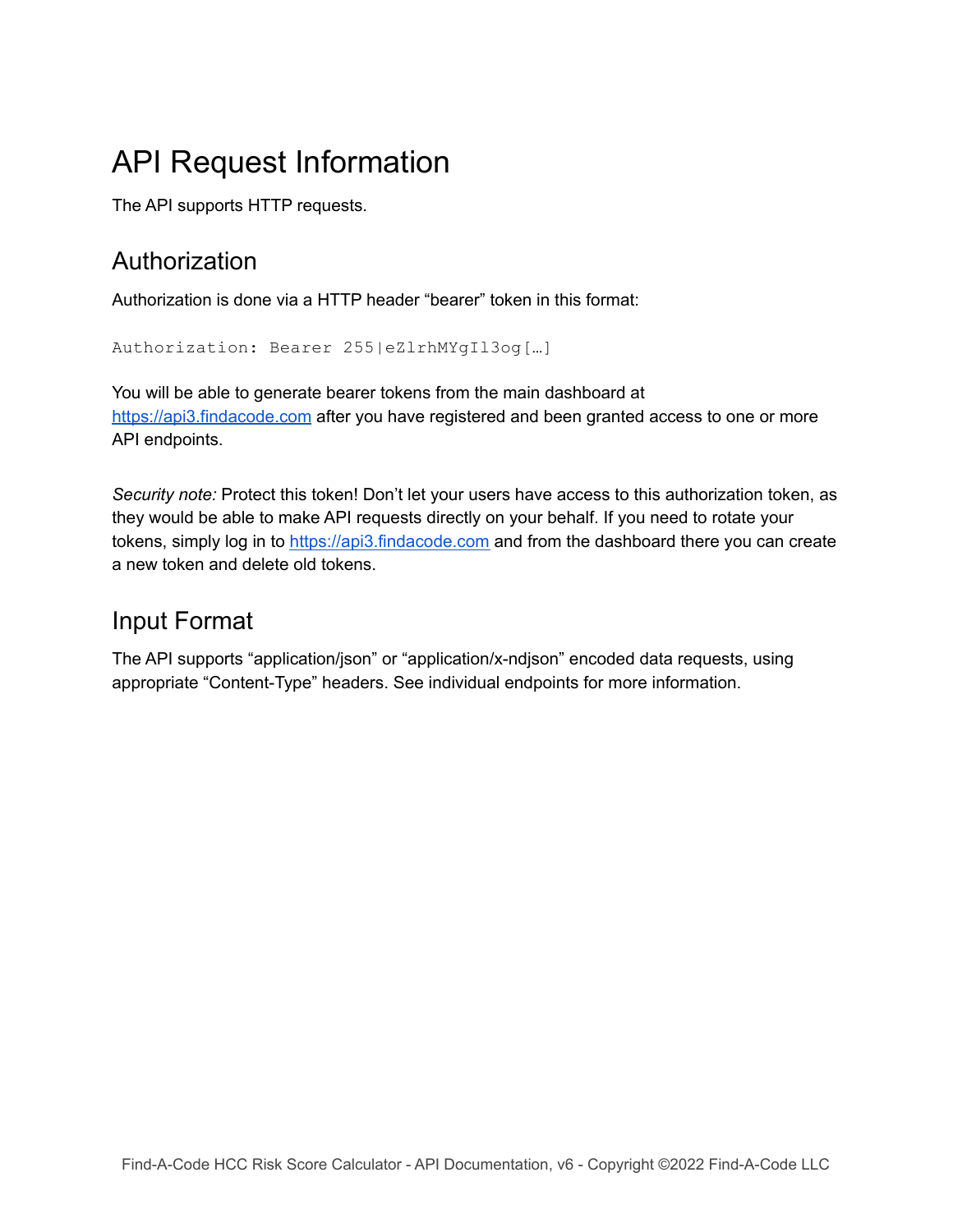# API Request Information

The API supports HTTP requests.

### Authorization

Authorization is done via a HTTP header "bearer" token in this format:

```
Authorization: Bearer 255|eZlrhMYgIl3og[…]
```
You will be able to generate bearer tokens from the main dashboard at <https://api3.findacode.com> after you have registered and been granted access to one or more API endpoints.

*Security note:* Protect this token! Don't let your users have access to this authorization token, as they would be able to make API requests directly on your behalf. If you need to rotate your tokens, simply log in to <https://api3.findacode.com> and from the dashboard there you can create a new token and delete old tokens.

### Input Format

The API supports "application/json" or "application/x-ndjson" encoded data requests, using appropriate "Content-Type" headers. See individual endpoints for more information.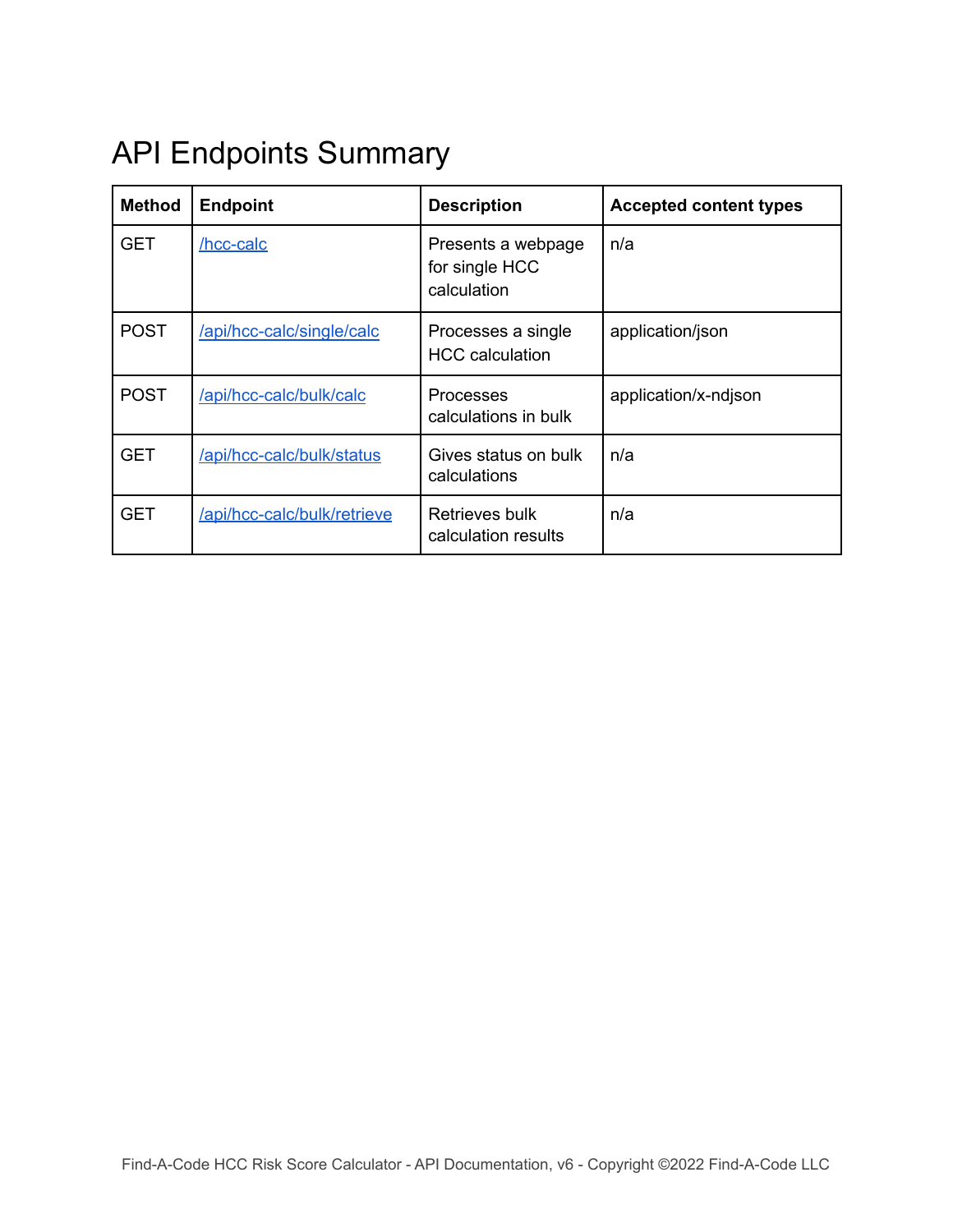# API Endpoints Summary

<span id="page-2-0"></span>

| <b>Method</b> | <b>Endpoint</b>             | <b>Description</b>                                  | <b>Accepted content types</b> |  |  |
|---------------|-----------------------------|-----------------------------------------------------|-------------------------------|--|--|
| GET           | /hcc-calc                   | Presents a webpage<br>for single HCC<br>calculation | n/a                           |  |  |
| <b>POST</b>   | /api/hcc-calc/single/calc   | Processes a single<br><b>HCC</b> calculation        | application/json              |  |  |
| <b>POST</b>   | /api/hcc-calc/bulk/calc     | <b>Processes</b><br>calculations in bulk            | application/x-ndjson          |  |  |
| <b>GET</b>    | /api/hcc-calc/bulk/status   | Gives status on bulk<br>calculations                | n/a                           |  |  |
| <b>GET</b>    | /api/hcc-calc/bulk/retrieve | Retrieves bulk<br>calculation results               | n/a                           |  |  |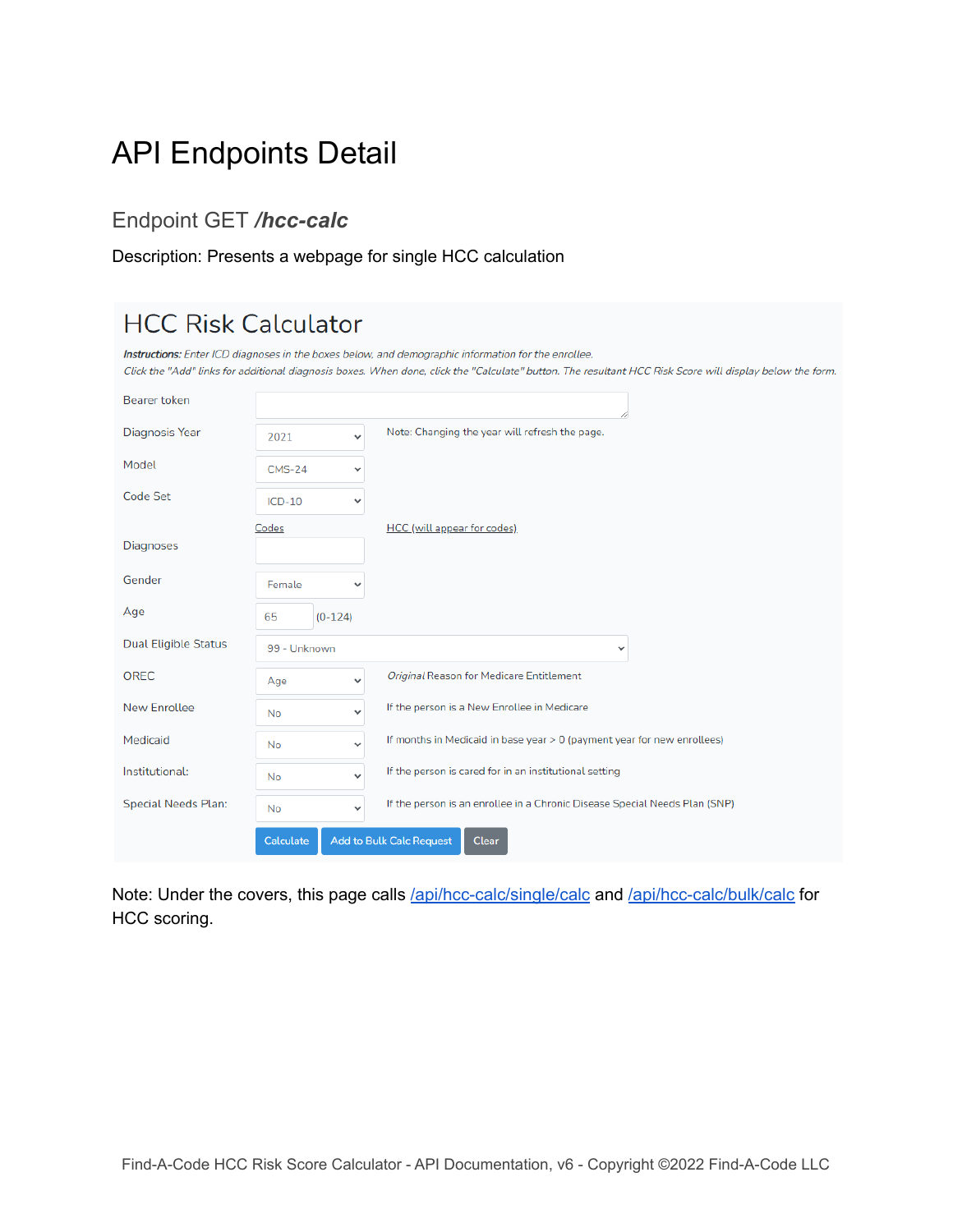# API Endpoints Detail

### Endpoint GET */hcc-calc*

#### Description: Presents a webpage for single HCC calculation

| <b>HCC Risk Calculator</b>  |               |              |                                                                                                                                                                                                                                                                 |
|-----------------------------|---------------|--------------|-----------------------------------------------------------------------------------------------------------------------------------------------------------------------------------------------------------------------------------------------------------------|
|                             |               |              | Instructions: Enter ICD diagnoses in the boxes below, and demographic information for the enrollee.<br>Click the "Add" links for additional diagnosis boxes. When done, click the "Calculate" button. The resultant HCC Risk Score will display below the form. |
| Bearer token                |               |              |                                                                                                                                                                                                                                                                 |
| Diagnosis Year              | 2021          | $\checkmark$ | Note: Changing the year will refresh the page.                                                                                                                                                                                                                  |
| Model                       | $CMS-24$<br>v |              |                                                                                                                                                                                                                                                                 |
| Code Set                    | $ICD-10$<br>٧ |              |                                                                                                                                                                                                                                                                 |
| Codes<br><b>Diagnoses</b>   |               |              | <b>HCC</b> (will appear for codes)                                                                                                                                                                                                                              |
| Gender                      | Female        | $\checkmark$ |                                                                                                                                                                                                                                                                 |
| Age                         | 65            | $(0-124)$    |                                                                                                                                                                                                                                                                 |
| <b>Dual Eligible Status</b> | 99 - Unknown  |              | $\checkmark$                                                                                                                                                                                                                                                    |
| <b>OREC</b>                 | Age           | v            | Original Reason for Medicare Entitlement                                                                                                                                                                                                                        |
| <b>New Enrollee</b>         | <b>No</b>     | $\checkmark$ | If the person is a New Enrollee in Medicare                                                                                                                                                                                                                     |
| Medicaid                    | <b>No</b>     | $\checkmark$ | If months in Medicaid in base year > 0 (payment year for new enrollees)                                                                                                                                                                                         |
| Institutional:              | No.           | $\checkmark$ | If the person is cared for in an institutional setting                                                                                                                                                                                                          |
| <b>Special Needs Plan:</b>  | <b>No</b>     | $\checkmark$ | If the person is an enrollee in a Chronic Disease Special Needs Plan (SNP)                                                                                                                                                                                      |
|                             | Calculate     |              | <b>Add to Bulk Calc Request</b><br><b>Clear</b>                                                                                                                                                                                                                 |

Note: Under the covers, this page calls [/api/hcc-calc/single/calc](#page-4-0) and [/api/hcc-calc/bulk/calc](#page-4-1) for HCC scoring.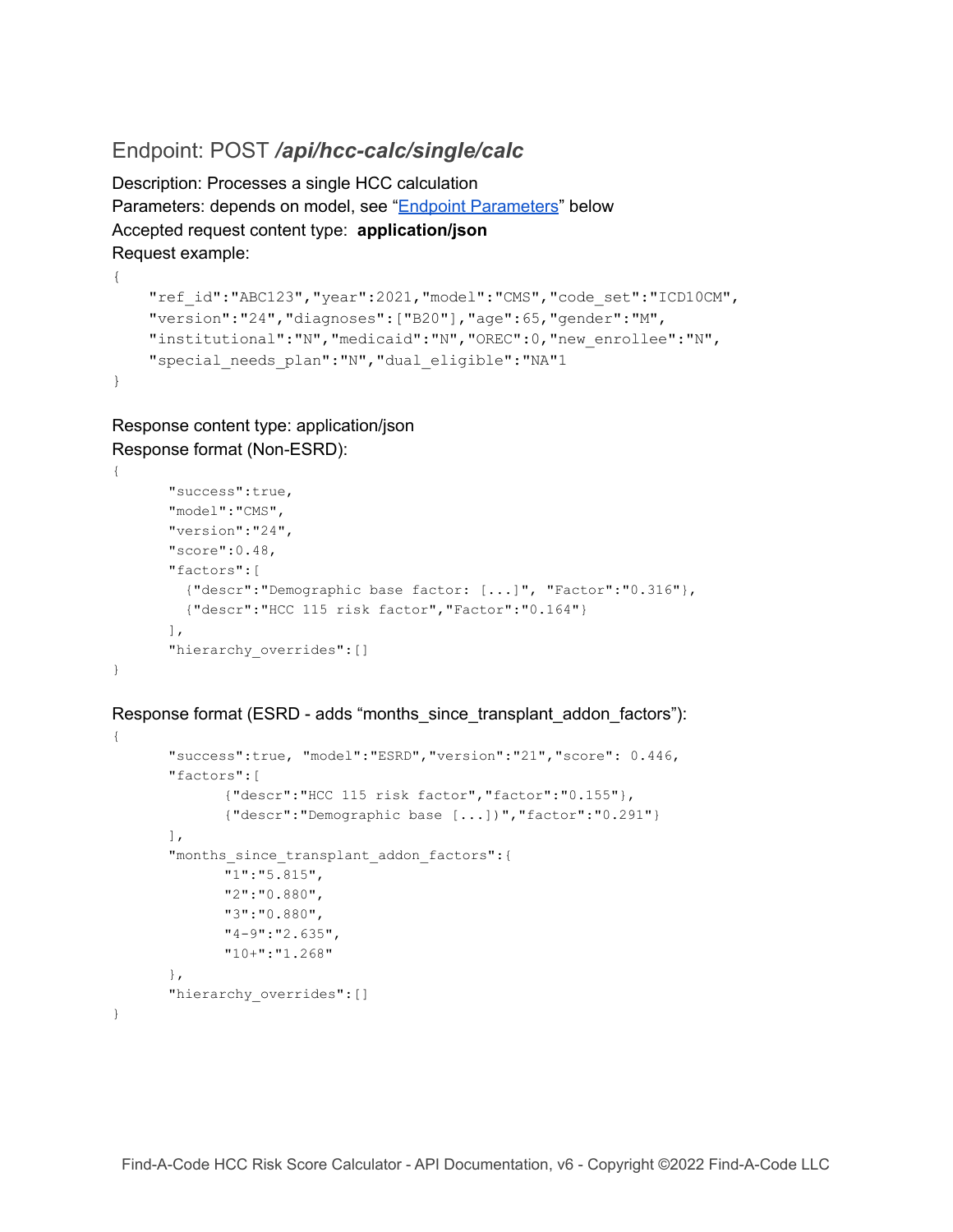#### <span id="page-4-0"></span>Endpoint: POST */api/hcc-calc/single/calc*

Description: Processes a single HCC calculation Parameters: depends on model, see "Endpoint [Parameters](#page-7-0)" below Accepted request content type: **application/json** Request example:

```
"ref_id":"ABC123","year":2021,"model":"CMS","code_set":"ICD10CM",
"version":"24","diagnoses":["B20"],"age":65,"gender":"M",
"institutional":"N","medicaid":"N","OREC":0,"new_enrollee":"N",
"special needs plan": "N", "dual eligible": "NA"1
```
Response content type: application/json Response format (Non-ESRD):

{

}

{

<span id="page-4-1"></span>}

```
{
       "success":true,
       "model":"CMS",
       "version":"24",
       "score":0.48,
       "factors":[
         {"descr":"Demographic base factor: [...]", "Factor":"0.316"},
         {"descr":"HCC 115 risk factor","Factor":"0.164"}
       \frac{1}{\sqrt{2}}"hierarchy_overrides":[]
}
```
Response format (ESRD - adds "months\_since\_transplant\_addon\_factors"):

```
"success":true, "model":"ESRD","version":"21","score": 0.446,
"factors":[
       {"descr":"HCC 115 risk factor","factor":"0.155"},
       {"descr":"Demographic base [...])","factor":"0.291"}
\frac{1}{\sqrt{2}}"months_since_transplant_addon_factors":{
      "1":"5.815",
       "2":"0.880",
       "3":"0.880",
       "4-9":"2.635",
       "10+":"1.268"
},
"hierarchy overrides": []
```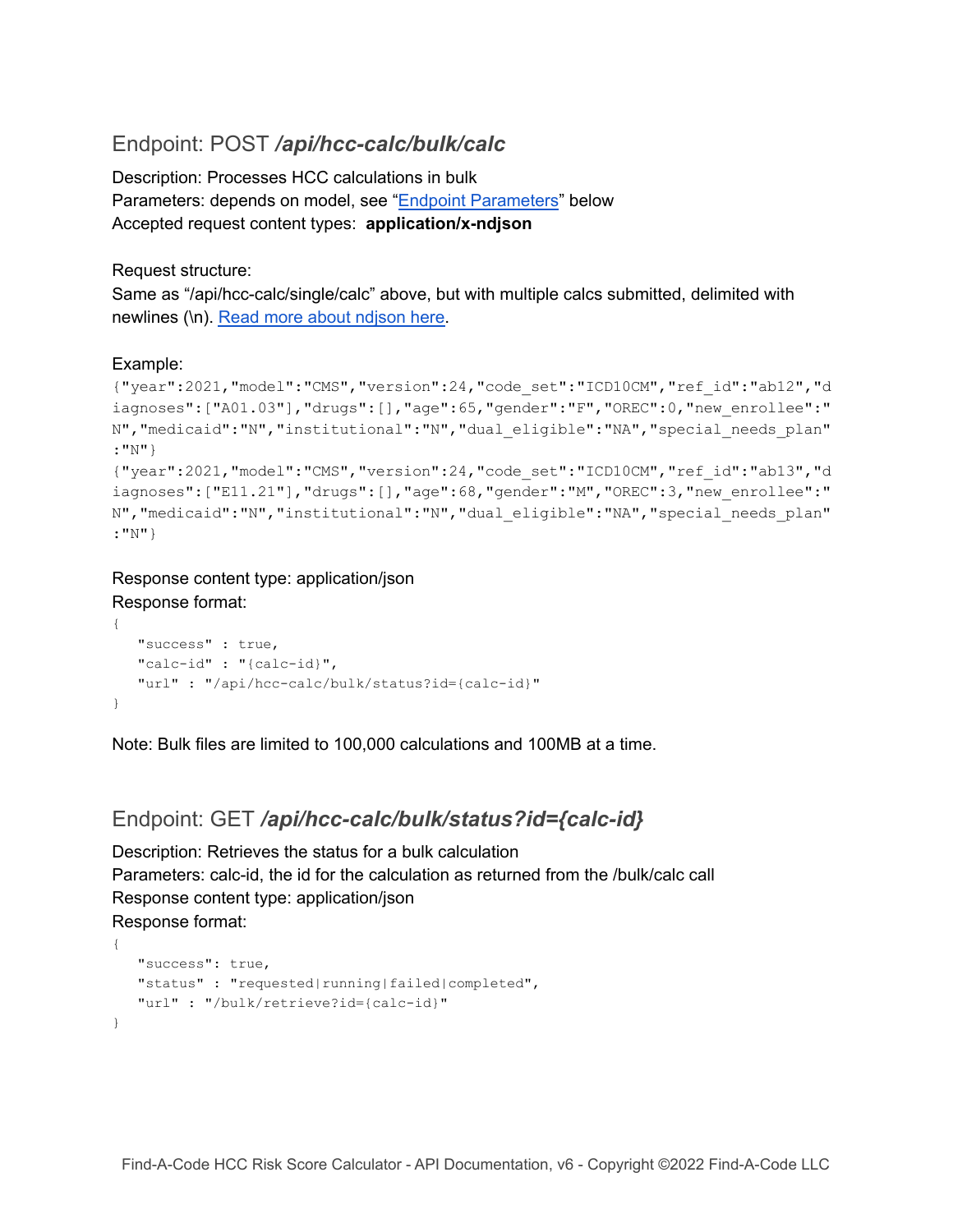### Endpoint: POST */api/hcc-calc/bulk/calc*

Description: Processes HCC calculations in bulk Parameters: depends on model, see "Endpoint [Parameters](#page-7-0)" below Accepted request content types: **application/x-ndjson**

Request structure:

Same as "/api/hcc-calc/single/calc" above, but with multiple calcs submitted, delimited with newlines (\n). Read more about [ndjson](https://github.com/ndjson/ndjson-spec) here.

#### Example:

```
{"year":2021,"model":"CMS","version":24,"code_set":"ICD10CM","ref_id":"ab12","d
iagnoses":["A01.03"],"drugs":[],"age":65,"gender":"F","OREC":0,"new_enrollee":"
N","medicaid":"N","institutional":"N","dual_eligible":"NA","special_needs_plan"
:"N"}
{"year":2021,"model":"CMS","version":24,"code_set":"ICD10CM","ref_id":"ab13","d
iagnoses":["E11.21"],"drugs":[],"age":68,"gender":"M","OREC":3,"new_enrollee":"
N","medicaid":"N","institutional":"N","dual_eligible":"NA","special_needs_plan"
:"N"}
```
#### Response content type: application/json Response format:

```
{
  "success" : true,
  "calc-id" : "{calc-id}",
  "url" : "/api/hcc-calc/bulk/status?id={calc-id}"
}
```
Note: Bulk files are limited to 100,000 calculations and 100MB at a time.

#### Endpoint: GET */api/hcc-calc/bulk/status?id={calc-id}*

Description: Retrieves the status for a bulk calculation Parameters: calc-id, the id for the calculation as returned from the /bulk/calc call Response content type: application/json Response format:

```
{
  "success": true,
  "status" : "requested|running|failed|completed",
   "url" : "/bulk/retrieve?id={calc-id}"
}
```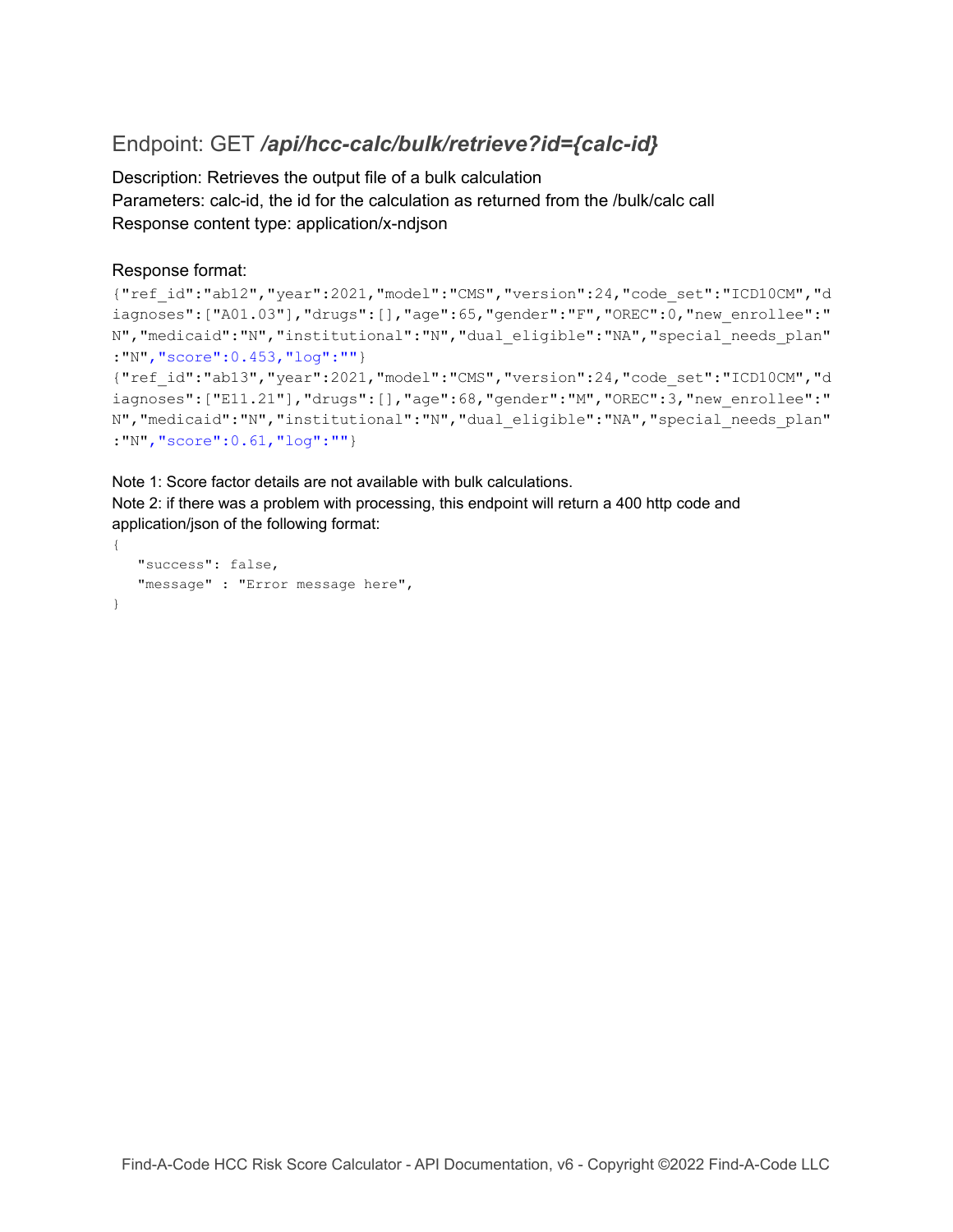### Endpoint: GET */api/hcc-calc/bulk/retrieve?id={calc-id}*

Description: Retrieves the output file of a bulk calculation Parameters: calc-id, the id for the calculation as returned from the /bulk/calc call Response content type: application/x-ndjson

#### Response format:

```
{"ref_id":"ab12","year":2021,"model":"CMS","version":24,"code_set":"ICD10CM","d
iagnoses":["A01.03"],"drugs":[],"age":65,"gender":"F","OREC":0,"new_enrollee":"
N","medicaid":"N","institutional":"N","dual_eligible":"NA","special_needs_plan"
:"N","score":0.453,"log":""}
{"ref_id":"ab13","year":2021,"model":"CMS","version":24,"code_set":"ICD10CM","d
iagnoses":["E11.21"],"drugs":[],"age":68,"gender":"M","OREC":3,"new_enrollee":"
N","medicaid":"N","institutional":"N","dual_eligible":"NA","special_needs_plan"
:"N","score":0.61,"log":""}
```
Note 1: Score factor details are not available with bulk calculations.

Note 2: if there was a problem with processing, this endpoint will return a 400 http code and application/json of the following format:

```
{
   "success": false,
  "message" : "Error message here",
}
```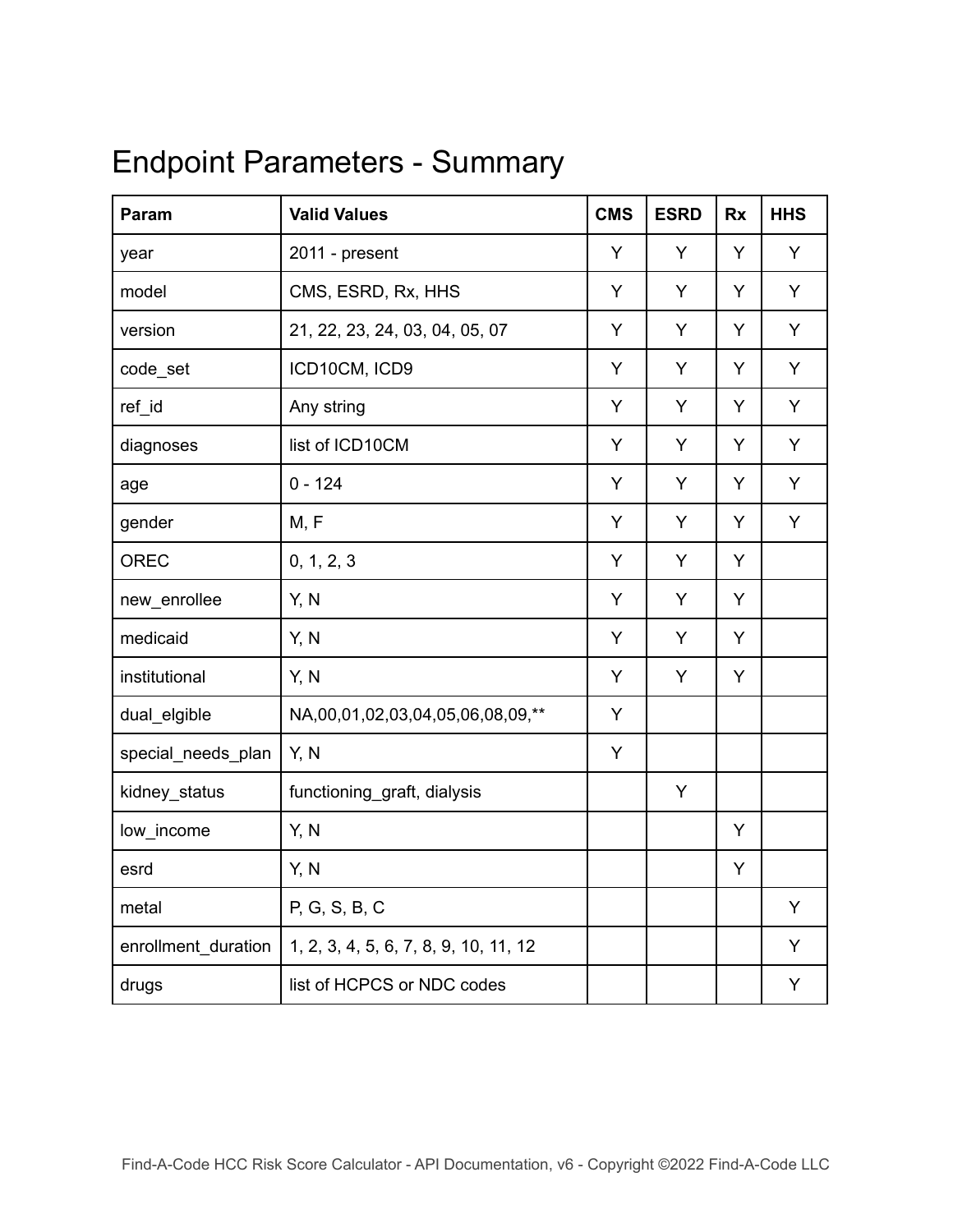# <span id="page-7-0"></span>Endpoint Parameters - Summary

| Param               | <b>Valid Values</b>                   | <b>CMS</b> | <b>ESRD</b> | <b>Rx</b> | <b>HHS</b> |
|---------------------|---------------------------------------|------------|-------------|-----------|------------|
| year                | 2011 - present                        | Y          | Y           | Y         | Y          |
| model               | CMS, ESRD, Rx, HHS                    | Y          | Y           | Y         | Y          |
| version             | 21, 22, 23, 24, 03, 04, 05, 07        |            | Y           | Y         | Y          |
| code_set            | ICD10CM, ICD9                         |            | Y           | Y         | Y          |
| ref_id              | Any string                            | Y          | Y           | Y         | Y          |
| diagnoses           | list of ICD10CM                       | Y          | Y           | Y         | Y          |
| age                 | $0 - 124$                             | Y          | Y           | Y         | Y          |
| gender              | M, F                                  | Y          | Y           | Y         | Y          |
| OREC                | 0, 1, 2, 3                            | Y          | Y           | Y         |            |
| new_enrollee        | Y, N                                  | Y          | Υ           | Υ         |            |
| medicaid            | Y, N                                  | Y          | Y           | Y         |            |
| institutional       | Y, N                                  | Y          | Y           | Y         |            |
| dual_elgible        | NA,00,01,02,03,04,05,06,08,09,**      | Y          |             |           |            |
| special_needs_plan  | Y, N                                  | Y          |             |           |            |
| kidney_status       | functioning_graft, dialysis           |            | Υ           |           |            |
| low_income          | Y, N                                  |            |             | Y         |            |
| esrd                | Y, N                                  |            |             | Y         |            |
| metal               | P, G, S, B, C                         |            |             |           | Y          |
| enrollment_duration | 1, 2, 3, 4, 5, 6, 7, 8, 9, 10, 11, 12 |            |             |           | Y          |
| drugs               | list of HCPCS or NDC codes            |            |             |           | Υ          |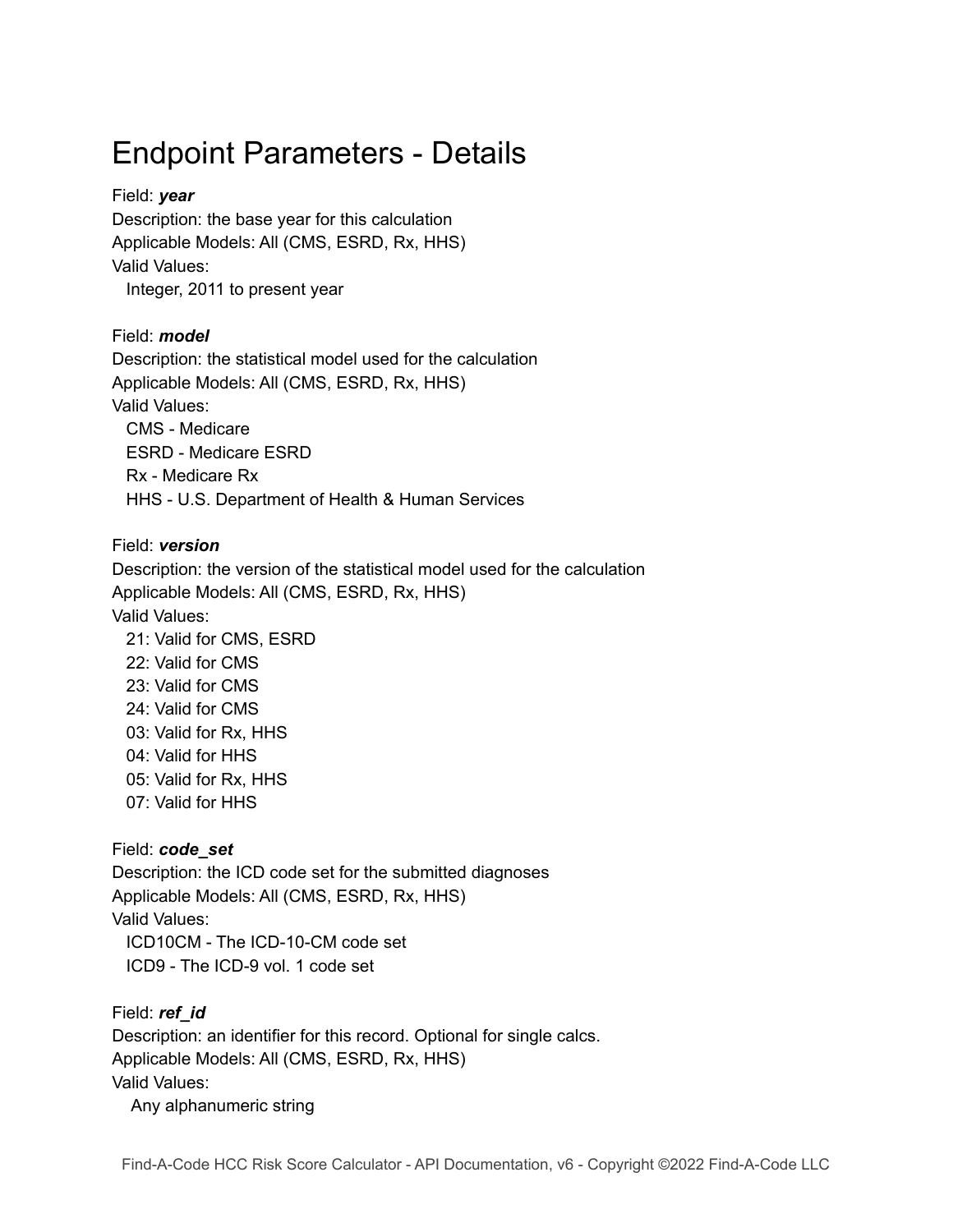# Endpoint Parameters - Details

#### Field: *year*

Description: the base year for this calculation Applicable Models: All (CMS, ESRD, Rx, HHS) Valid Values:

Integer, 2011 to present year

#### Field: *model*

Description: the statistical model used for the calculation Applicable Models: All (CMS, ESRD, Rx, HHS) Valid Values: CMS - Medicare ESRD - Medicare ESRD Rx - Medicare Rx HHS - U.S. Department of Health & Human Services

#### Field: *version*

Description: the version of the statistical model used for the calculation Applicable Models: All (CMS, ESRD, Rx, HHS) Valid Values: 21: Valid for CMS, ESRD 22: Valid for CMS 23: Valid for CMS 24: Valid for CMS 03: Valid for Rx, HHS 04: Valid for HHS 05: Valid for Rx, HHS 07: Valid for HHS

#### Field: *code\_set*

Description: the ICD code set for the submitted diagnoses Applicable Models: All (CMS, ESRD, Rx, HHS) Valid Values: ICD10CM - The ICD-10-CM code set ICD9 - The ICD-9 vol. 1 code set

Field: *ref\_id* Description: an identifier for this record. Optional for single calcs. Applicable Models: All (CMS, ESRD, Rx, HHS) Valid Values: Any alphanumeric string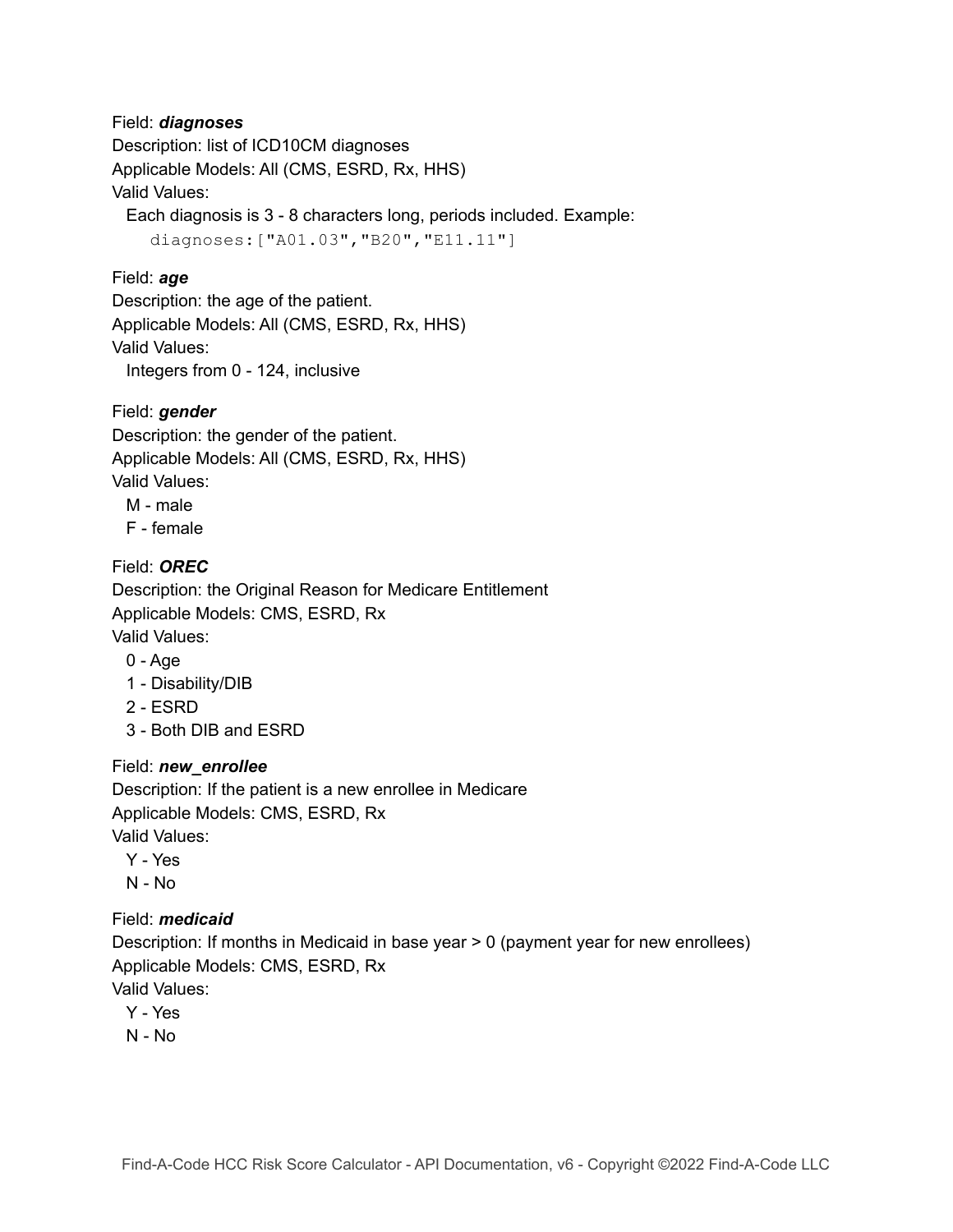#### Field: *diagnoses*

Description: list of ICD10CM diagnoses Applicable Models: All (CMS, ESRD, Rx, HHS) Valid Values:

Each diagnosis is 3 - 8 characters long, periods included. Example:

diagnoses:["A01.03","B20","E11.11"]

#### Field: *age*

Description: the age of the patient. Applicable Models: All (CMS, ESRD, Rx, HHS) Valid Values:

Integers from 0 - 124, inclusive

#### Field: *gender*

Description: the gender of the patient. Applicable Models: All (CMS, ESRD, Rx, HHS) Valid Values:

- M male
- F female

#### Field: *OREC*

Description: the Original Reason for Medicare Entitlement Applicable Models: CMS, ESRD, Rx Valid Values:

- 0 Age
- 1 Disability/DIB
- 2 ESRD
- 3 Both DIB and ESRD

#### Field: *new\_enrollee*

Description: If the patient is a new enrollee in Medicare Applicable Models: CMS, ESRD, Rx Valid Values:

- Y Yes
- N No

#### Field: *medicaid*

Description: If months in Medicaid in base year > 0 (payment year for new enrollees) Applicable Models: CMS, ESRD, Rx Valid Values:

- Y Yes
- N No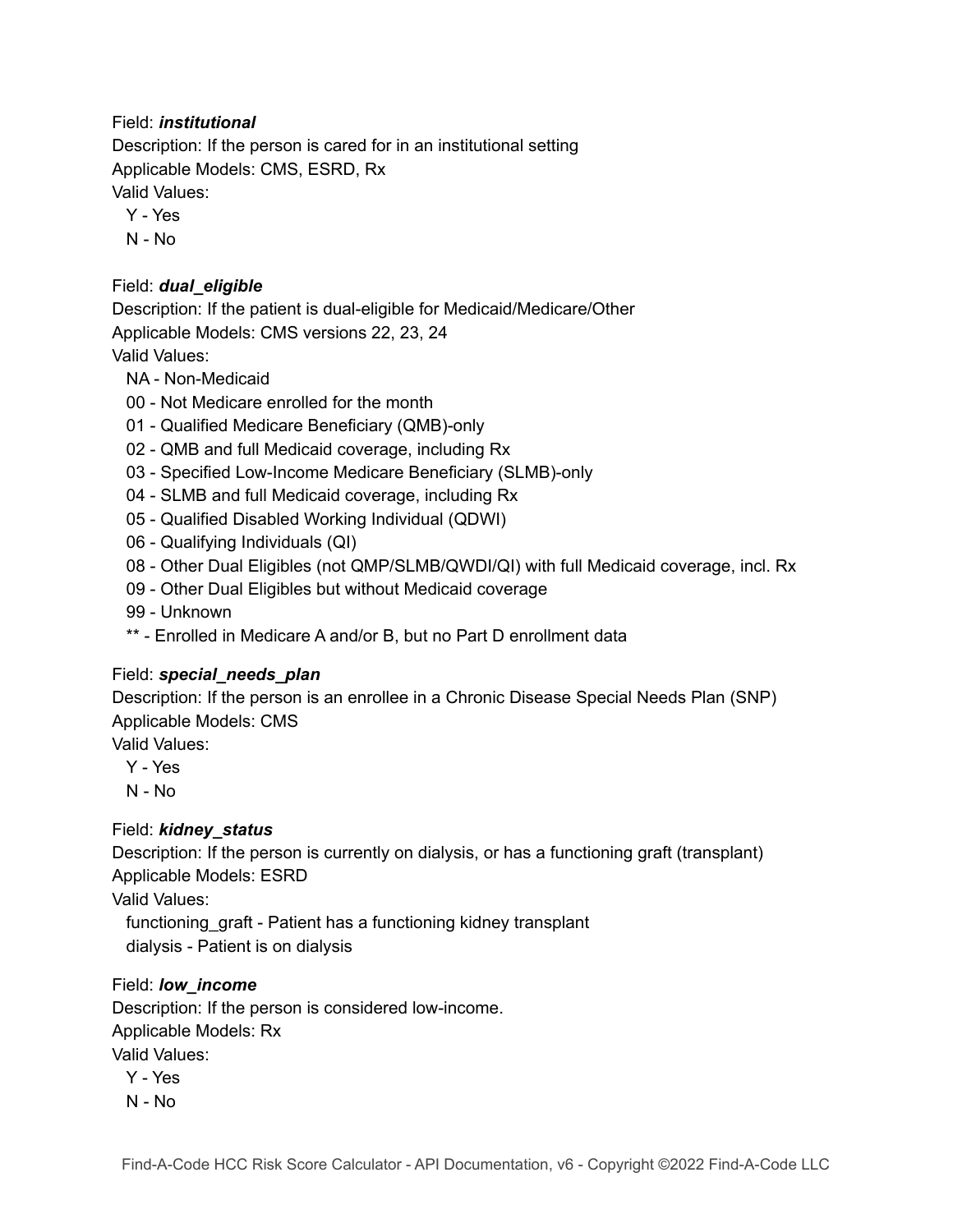#### Field: *institutional*

Description: If the person is cared for in an institutional setting Applicable Models: CMS, ESRD, Rx Valid Values:

- Y Yes
- N No

#### Field: *dual\_eligible*

Description: If the patient is dual-eligible for Medicaid/Medicare/Other Applicable Models: CMS versions 22, 23, 24

#### Valid Values:

- NA Non-Medicaid
- 00 Not Medicare enrolled for the month
- 01 Qualified Medicare Beneficiary (QMB)-only
- 02 QMB and full Medicaid coverage, including Rx
- 03 Specified Low-Income Medicare Beneficiary (SLMB)-only
- 04 SLMB and full Medicaid coverage, including Rx
- 05 Qualified Disabled Working Individual (QDWI)
- 06 Qualifying Individuals (QI)
- 08 Other Dual Eligibles (not QMP/SLMB/QWDI/QI) with full Medicaid coverage, incl. Rx
- 09 Other Dual Eligibles but without Medicaid coverage
- 99 Unknown
- \*\* Enrolled in Medicare A and/or B, but no Part D enrollment data

#### Field: *special\_needs\_plan*

Description: If the person is an enrollee in a Chronic Disease Special Needs Plan (SNP) Applicable Models: CMS

Valid Values:

- Y Yes
- N No

#### Field: *kidney\_status*

Description: If the person is currently on dialysis, or has a functioning graft (transplant) Applicable Models: ESRD

Valid Values:

functioning\_graft - Patient has a functioning kidney transplant dialysis - Patient is on dialysis

#### Field: *low\_income*

Description: If the person is considered low-income. Applicable Models: Rx Valid Values:

- Y Yes
- N No